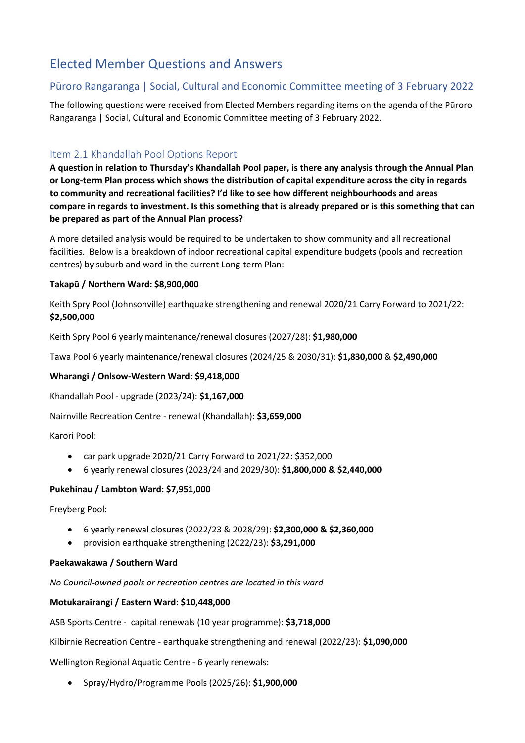# Elected Member Questions and Answers

# Pūroro Rangaranga | Social, Cultural and Economic Committee meeting of 3 February 2022

The following questions were received from Elected Members regarding items on the agenda of the Pūroro Rangaranga | Social, Cultural and Economic Committee meeting of 3 February 2022.

# Item 2.1 Khandallah Pool Options Report

**A question in relation to Thursday's Khandallah Pool paper, is there any analysis through the Annual Plan or Long-term Plan process which shows the distribution of capital expenditure across the city in regards to community and recreational facilities? I'd like to see how different neighbourhoods and areas compare in regards to investment. Is this something that is already prepared or is this something that can be prepared as part of the Annual Plan process?**

A more detailed analysis would be required to be undertaken to show community and all recreational facilities. Below is a breakdown of indoor recreational capital expenditure budgets (pools and recreation centres) by suburb and ward in the current Long-term Plan:

#### **Takapū / Northern Ward: \$8,900,000**

Keith Spry Pool (Johnsonville) earthquake strengthening and renewal 2020/21 Carry Forward to 2021/22: **\$2,500,000**

Keith Spry Pool 6 yearly maintenance/renewal closures (2027/28): **\$1,980,000**

Tawa Pool 6 yearly maintenance/renewal closures (2024/25 & 2030/31): **\$1,830,000** & **\$2,490,000**

#### **Wharangi / Onlsow-Western Ward: \$9,418,000**

Khandallah Pool - upgrade (2023/24): **\$1,167,000**

Nairnville Recreation Centre - renewal (Khandallah): **\$3,659,000**

Karori Pool:

- car park upgrade 2020/21 Carry Forward to 2021/22: \$352,000
- 6 yearly renewal closures (2023/24 and 2029/30): **\$1,800,000 & \$2,440,000**

#### **Pukehinau / Lambton Ward: \$7,951,000**

Freyberg Pool:

- 6 yearly renewal closures (2022/23 & 2028/29): **\$2,300,000 & \$2,360,000**
- provision earthquake strengthening (2022/23): **\$3,291,000**

#### **Paekawakawa / Southern Ward**

*No Council-owned pools or recreation centres are located in this ward*

#### **Motukarairangi / Eastern Ward: \$10,448,000**

ASB Sports Centre - capital renewals (10 year programme): **\$3,718,000**

Kilbirnie Recreation Centre - earthquake strengthening and renewal (2022/23): **\$1,090,000**

Wellington Regional Aquatic Centre - 6 yearly renewals:

• Spray/Hydro/Programme Pools (2025/26): **\$1,900,000**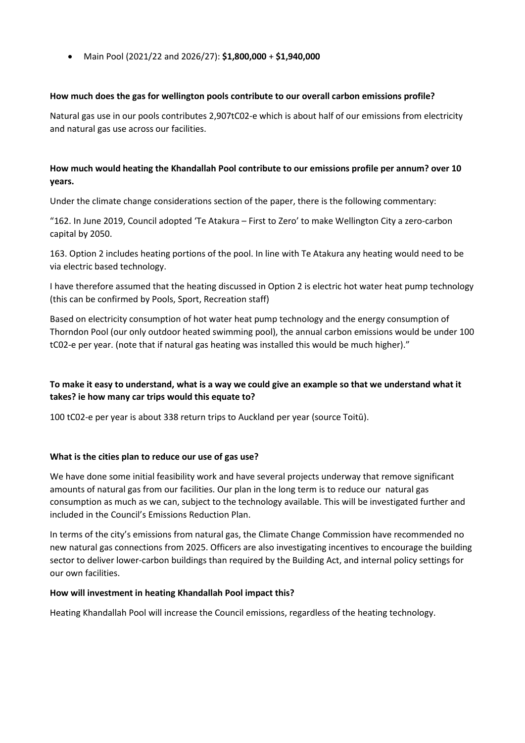• Main Pool (2021/22 and 2026/27): **\$1,800,000** + **\$1,940,000**

#### **How much does the gas for wellington pools contribute to our overall carbon emissions profile?**

Natural gas use in our pools contributes 2,907tC02-e which is about half of our emissions from electricity and natural gas use across our facilities.

## **How much would heating the Khandallah Pool contribute to our emissions profile per annum? over 10 years.**

Under the climate change considerations section of the paper, there is the following commentary:

"162. In June 2019, Council adopted 'Te Atakura – First to Zero' to make Wellington City a zero-carbon capital by 2050.

163. Option 2 includes heating portions of the pool. In line with Te Atakura any heating would need to be via electric based technology.

I have therefore assumed that the heating discussed in Option 2 is electric hot water heat pump technology (this can be confirmed by Pools, Sport, Recreation staff)

Based on electricity consumption of hot water heat pump technology and the energy consumption of Thorndon Pool (our only outdoor heated swimming pool), the annual carbon emissions would be under 100 tC02-e per year. (note that if natural gas heating was installed this would be much higher)."

## **To make it easy to understand, what is a way we could give an example so that we understand what it takes? ie how many car trips would this equate to?**

100 tC02-e per year is about 338 return trips to Auckland per year (source Toitū).

#### **What is the cities plan to reduce our use of gas use?**

We have done some initial feasibility work and have several projects underway that remove significant amounts of natural gas from our facilities. Our plan in the long term is to reduce our natural gas consumption as much as we can, subject to the technology available. This will be investigated further and included in the Council's Emissions Reduction Plan.

In terms of the city's emissions from natural gas, the Climate Change Commission have recommended no new natural gas connections from 2025. Officers are also investigating incentives to encourage the building sector to deliver lower-carbon buildings than required by the Building Act, and internal policy settings for our own facilities.

#### **How will investment in heating Khandallah Pool impact this?**

Heating Khandallah Pool will increase the Council emissions, regardless of the heating technology.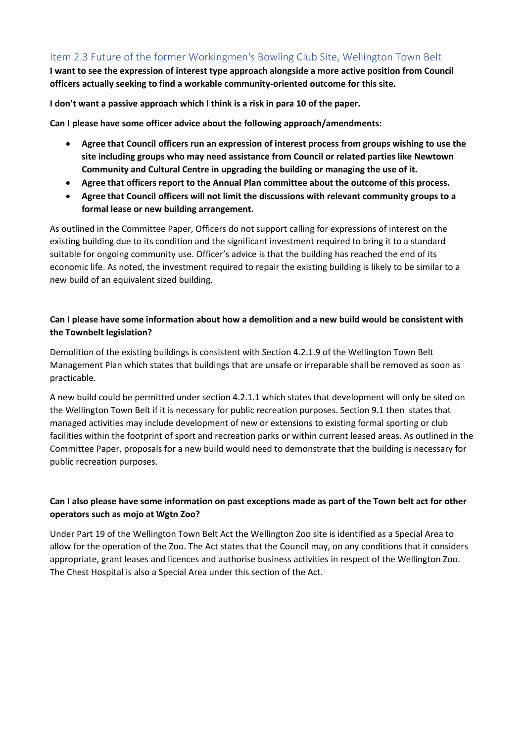# Item 2.3 Future of the former Workingmen's Bowling Club Site, Wellington Town Belt

**I want to see the expression of interest type approach alongside a more active position from Council officers actually seeking to find a workable community-oriented outcome for this site.** 

**I don't want a passive approach which I think is a risk in para 10 of the paper.**

**Can I please have some officer advice about the following approach/amendments:** 

- **Agree that Council officers run an expression of interest process from groups wishing to use the site including groups who may need assistance from Council or related parties like Newtown Community and Cultural Centre in upgrading the building or managing the use of it.**
- **Agree that officers report to the Annual Plan committee about the outcome of this process.**
- **Agree that Council officers will not limit the discussions with relevant community groups to a formal lease or new building arrangement.**

As outlined in the Committee Paper, Officers do not support calling for expressions of interest on the existing building due to its condition and the significant investment required to bring it to a standard suitable for ongoing community use. Officer's advice is that the building has reached the end of its economic life. As noted, the investment required to repair the existing building is likely to be similar to a new build of an equivalent sized building.

## **Can I please have some information about how a demolition and a new build would be consistent with the Townbelt legislation?**

Demolition of the existing buildings is consistent with Section 4.2.1.9 of the Wellington Town Belt Management Plan which states that buildings that are unsafe or irreparable shall be removed as soon as practicable.

A new build could be permitted under section 4.2.1.1 which states that development will only be sited on the Wellington Town Belt if it is necessary for public recreation purposes. Section 9.1 then states that managed activities may include development of new or extensions to existing formal sporting or club facilities within the footprint of sport and recreation parks or within current leased areas. As outlined in the Committee Paper, proposals for a new build would need to demonstrate that the building is necessary for public recreation purposes.

## **Can I also please have some information on past exceptions made as part of the Town belt act for other operators such as mojo at Wgtn Zoo?**

Under Part 19 of the Wellington Town Belt Act the Wellington Zoo site is identified as a Special Area to allow for the operation of the Zoo. The Act states that the Council may, on any conditions that it considers appropriate, grant leases and licences and authorise business activities in respect of the Wellington Zoo. The Chest Hospital is also a Special Area under this section of the Act.